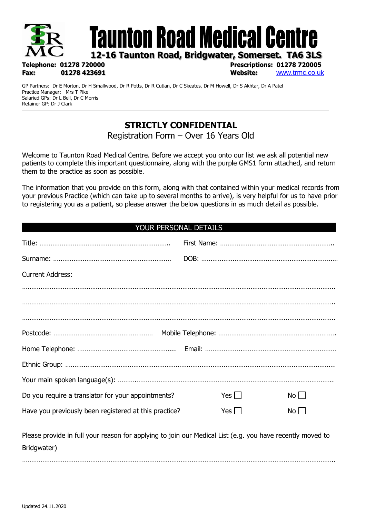

GP Partners: Dr E Morton, Dr H Smallwood, Dr R Potts, Dr R Cutlan, Dr C Skeates, Dr M Howell, Dr S Akhtar, Dr A Patel Practice Manager: Mrs T Pike Salaried GPs: Dr L Bell, Dr C Morris Retainer GP: Dr J Clark

# **STRICTLY CONFIDENTIAL**

Registration Form – Over 16 Years Old

Welcome to Taunton Road Medical Centre. Before we accept you onto our list we ask all potential new patients to complete this important questionnaire, along with the purple GMS1 form attached, and return them to the practice as soon as possible.

The information that you provide on this form, along with that contained within your medical records from your previous Practice (which can take up to several months to arrive), is very helpful for us to have prior to registering you as a patient, so please answer the below questions in as much detail as possible.

#### YOUR PERSONAL DETAILS

| <b>Current Address:</b>                                                                                                  |            |          |  |
|--------------------------------------------------------------------------------------------------------------------------|------------|----------|--|
|                                                                                                                          |            |          |  |
|                                                                                                                          |            |          |  |
|                                                                                                                          |            |          |  |
|                                                                                                                          |            |          |  |
|                                                                                                                          |            |          |  |
|                                                                                                                          |            |          |  |
|                                                                                                                          |            |          |  |
| Do you require a translator for your appointments?                                                                       | Yes        | No       |  |
| Have you previously been registered at this practice?                                                                    | Yes $\Box$ | $No$ $ $ |  |
| Please provide in full your reason for applying to join our Medical List (e.g. you have recently moved to<br>Bridgwater) |            |          |  |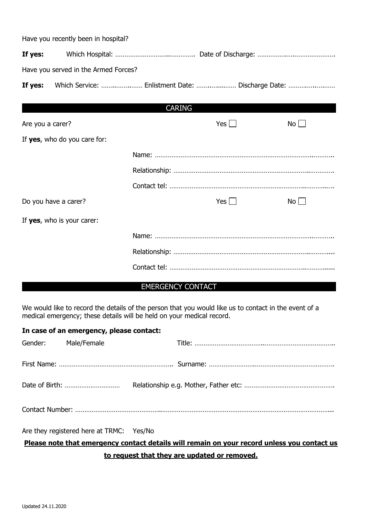|                  | Have you recently been in hospital?  |               |            |                                                   |
|------------------|--------------------------------------|---------------|------------|---------------------------------------------------|
| If yes:          |                                      |               |            |                                                   |
|                  | Have you served in the Armed Forces? |               |            |                                                   |
| If yes:          |                                      |               |            | Which Service:  Enlistment Date:  Discharge Date: |
|                  |                                      | <b>CARING</b> |            |                                                   |
| Are you a carer? |                                      |               | Yes $\Box$ | $No$ $ $                                          |
|                  | If yes, who do you care for:         |               |            |                                                   |
|                  |                                      |               |            |                                                   |
|                  |                                      |               |            |                                                   |
|                  |                                      |               |            |                                                   |
|                  | Do you have a carer?                 |               | Yes $\Box$ | $No$                                              |
|                  | If yes, who is your carer:           |               |            |                                                   |
|                  |                                      |               |            |                                                   |
|                  |                                      |               |            |                                                   |
|                  |                                      |               |            |                                                   |
|                  |                                      |               |            |                                                   |

#### EMERGENCY CONTACT

We would like to record the details of the person that you would like us to contact in the event of a medical emergency; these details will be held on your medical record.

| In case of an emergency, please contact: |                                          |  |  |  |
|------------------------------------------|------------------------------------------|--|--|--|
| Gender: Male/Female                      |                                          |  |  |  |
|                                          |                                          |  |  |  |
|                                          |                                          |  |  |  |
|                                          |                                          |  |  |  |
|                                          | Are they registered here at TRMC: Yes/No |  |  |  |

## **Please note that emergency contact details will remain on your record unless you contact us to request that they are updated or removed.**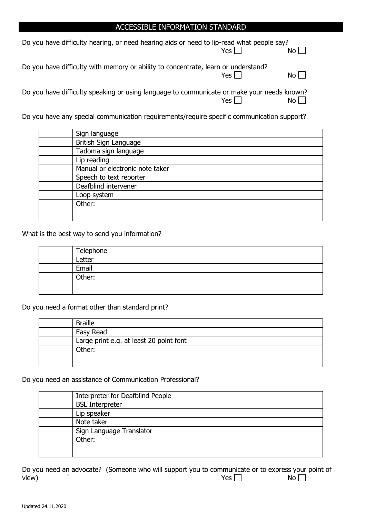#### ACCESSIBLE INFORMATION STANDARD

| Do you have difficulty hearing, or need hearing aids or need to lip-read what people say?  | Yes $\Box$ | No <sub>l</sub>      |
|--------------------------------------------------------------------------------------------|------------|----------------------|
| Do you have difficulty with memory or ability to concentrate, learn or understand?         | Yes L      | No L                 |
| Do you have difficulty speaking or using language to communicate or make your needs known? | Yes $\Box$ | $No$ $\vert$ $\vert$ |

Do you have any special communication requirements/require specific communication support?

| Sign language                   |
|---------------------------------|
| British Sign Language           |
| Tadoma sign language            |
| Lip reading                     |
| Manual or electronic note taker |
| Speech to text reporter         |
| Deafblind intervener            |
| Loop system                     |
| Other:                          |
|                                 |
|                                 |

What is the best way to send you information?

| Telephone |
|-----------|
| Letter    |
| Email     |
| Other:    |
|           |

Do you need a format other than standard print?

| <b>Braille</b>                          |
|-----------------------------------------|
| Easy Read                               |
| Large print e.g. at least 20 point font |
| Other:                                  |
|                                         |

Do you need an assistance of Communication Professional?

| Interpreter for Deafblind People |
|----------------------------------|
| <b>BSL Interpreter</b>           |
| Lip speaker                      |
| Note taker                       |
| Sign Language Translator         |
| Other:                           |
|                                  |

Do you need an advocate? (Someone who will support you to communicate or to express your point of view) ` Yes No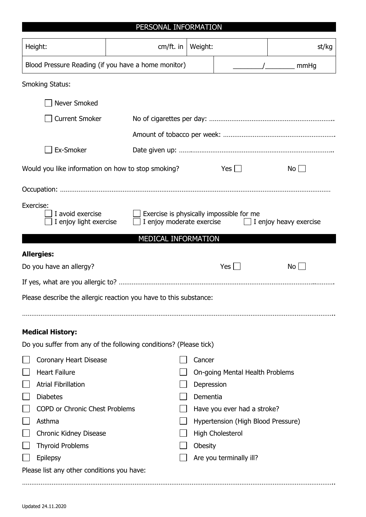| Height:                                                                                      | $cm/ft.$ in                                                                                                                   | Weight:    |                                    | st/kg           |
|----------------------------------------------------------------------------------------------|-------------------------------------------------------------------------------------------------------------------------------|------------|------------------------------------|-----------------|
| Blood Pressure Reading (if you have a home monitor)                                          |                                                                                                                               |            |                                    | <u>/</u> mmHg   |
|                                                                                              |                                                                                                                               |            |                                    |                 |
| <b>Smoking Status:</b>                                                                       |                                                                                                                               |            |                                    |                 |
| Never Smoked                                                                                 |                                                                                                                               |            |                                    |                 |
| <b>Current Smoker</b>                                                                        |                                                                                                                               |            |                                    |                 |
|                                                                                              |                                                                                                                               |            |                                    |                 |
| Ex-Smoker                                                                                    |                                                                                                                               |            |                                    |                 |
| Would you like information on how to stop smoking?                                           |                                                                                                                               |            | $Yes$                              | $No$ $ $        |
|                                                                                              |                                                                                                                               |            |                                    |                 |
| Exercise:<br>I avoid exercise                                                                | Exercise is physically impossible for me<br>I enjoy light exercise<br>I enjoy moderate exercise $\Box$ I enjoy heavy exercise |            |                                    |                 |
|                                                                                              | <b>MEDICAL INFORMATION</b>                                                                                                    |            |                                    |                 |
| <b>Allergies:</b>                                                                            |                                                                                                                               |            |                                    |                 |
| Do you have an allergy?                                                                      |                                                                                                                               |            | $Yes \mid \mid$                    | No <sub>1</sub> |
|                                                                                              |                                                                                                                               |            |                                    |                 |
| Please describe the allergic reaction you have to this substance:                            |                                                                                                                               |            |                                    |                 |
|                                                                                              |                                                                                                                               |            |                                    |                 |
|                                                                                              |                                                                                                                               |            |                                    |                 |
| <b>Medical History:</b><br>Do you suffer from any of the following conditions? (Please tick) |                                                                                                                               |            |                                    |                 |
|                                                                                              |                                                                                                                               |            |                                    |                 |
| <b>Coronary Heart Disease</b><br><b>Heart Failure</b>                                        |                                                                                                                               | Cancer     |                                    |                 |
| <b>Atrial Fibrillation</b>                                                                   |                                                                                                                               | Depression | On-going Mental Health Problems    |                 |
| <b>Diabetes</b>                                                                              |                                                                                                                               | Dementia   |                                    |                 |
| <b>COPD or Chronic Chest Problems</b>                                                        |                                                                                                                               |            | Have you ever had a stroke?        |                 |
| Asthma                                                                                       |                                                                                                                               |            | Hypertension (High Blood Pressure) |                 |
| <b>Chronic Kidney Disease</b>                                                                |                                                                                                                               |            | <b>High Cholesterol</b>            |                 |
| <b>Thyroid Problems</b>                                                                      |                                                                                                                               | Obesity    |                                    |                 |
| Epilepsy                                                                                     |                                                                                                                               |            | Are you terminally ill?            |                 |
| Please list any other conditions you have:                                                   |                                                                                                                               |            |                                    |                 |
|                                                                                              |                                                                                                                               |            |                                    |                 |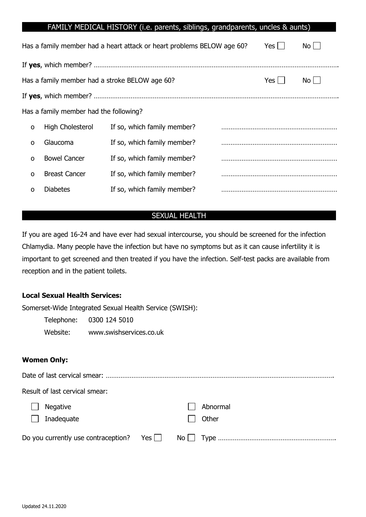|   |                                        | FAMILY MEDICAL HISTORY (i.e. parents, siblings, grandparents, uncles & aunts) |                   |  |
|---|----------------------------------------|-------------------------------------------------------------------------------|-------------------|--|
|   |                                        | Has a family member had a heart attack or heart problems BELOW age 60?        | $Yes$  <br>No l   |  |
|   |                                        |                                                                               |                   |  |
|   |                                        | Has a family member had a stroke BELOW age 60?                                | $Yes$    <br>No l |  |
|   |                                        |                                                                               |                   |  |
|   | Has a family member had the following? |                                                                               |                   |  |
| O | High Cholesterol                       | If so, which family member?                                                   |                   |  |
| O | Glaucoma                               | If so, which family member?                                                   |                   |  |
| O | <b>Bowel Cancer</b>                    | If so, which family member?                                                   |                   |  |
| O | <b>Breast Cancer</b>                   | If so, which family member?                                                   |                   |  |
| O | <b>Diabetes</b>                        | If so, which family member?                                                   |                   |  |

#### SEXUAL HEALTH

If you are aged 16-24 and have ever had sexual intercourse, you should be screened for the infection Chlamydia. Many people have the infection but have no symptoms but as it can cause infertility it is important to get screened and then treated if you have the infection. Self-test packs are available from reception and in the patient toilets.

#### **Local Sexual Health Services:**

Somerset-Wide Integrated Sexual Health Service (SWISH):

Telephone: 0300 124 5010 Website: www.swishservices.co.uk

#### **Women Only:**

| Result of last cervical smear: |                   |  |
|--------------------------------|-------------------|--|
| <b>Negative</b><br>Inadequate  | Abnormal<br>Other |  |
|                                |                   |  |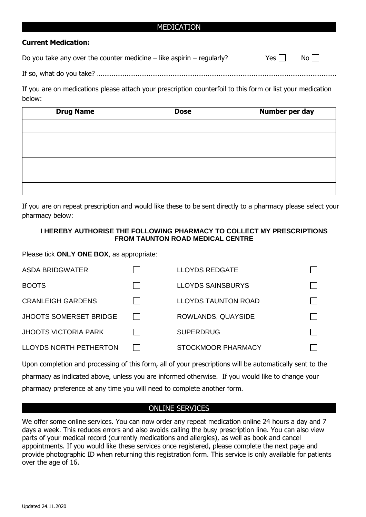#### MEDICATION

#### **Current Medication:**

| Do you take any over the counter medicine $-$ like aspirin $-$ regularly? | $Yes \Box \qquad No \Box$ |  |
|---------------------------------------------------------------------------|---------------------------|--|
|---------------------------------------------------------------------------|---------------------------|--|

If so, what do you take? ………………………………………………………………………………………………………………….

If you are on medications please attach your prescription counterfoil to this form or list your medication below:

| <b>Drug Name</b> | <b>Dose</b> | Number per day |
|------------------|-------------|----------------|
|                  |             |                |
|                  |             |                |
|                  |             |                |
|                  |             |                |
|                  |             |                |
|                  |             |                |

If you are on repeat prescription and would like these to be sent directly to a pharmacy please select your pharmacy below:

#### **I HEREBY AUTHORISE THE FOLLOWING PHARMACY TO COLLECT MY PRESCRIPTIONS FROM TAUNTON ROAD MEDICAL CENTRE**

Please tick **ONLY ONE BOX**, as appropriate:

| <b>ASDA BRIDGWATER</b>        | <b>LLOYDS REDGATE</b>      |  |
|-------------------------------|----------------------------|--|
| <b>BOOTS</b>                  | LLOYDS SAINSBURYS          |  |
| <b>CRANLEIGH GARDENS</b>      | <b>LLOYDS TAUNTON ROAD</b> |  |
| <b>JHOOTS SOMERSET BRIDGE</b> | ROWLANDS, QUAYSIDE         |  |
| <b>JHOOTS VICTORIA PARK</b>   | <b>SUPERDRUG</b>           |  |
| <b>LLOYDS NORTH PETHERTON</b> | STOCKMOOR PHARMACY         |  |

Upon completion and processing of this form, all of your prescriptions will be automatically sent to the pharmacy as indicated above, unless you are informed otherwise. If you would like to change your pharmacy preference at any time you will need to complete another form.

#### ONLINE SERVICES

We offer some online services. You can now order any repeat medication online 24 hours a day and 7 days a week. This reduces errors and also avoids calling the busy prescription line. You can also view parts of your medical record (currently medications and allergies), as well as book and cancel appointments. If you would like these services once registered, please complete the next page and provide photographic ID when returning this registration form. This service is only available for patients over the age of 16.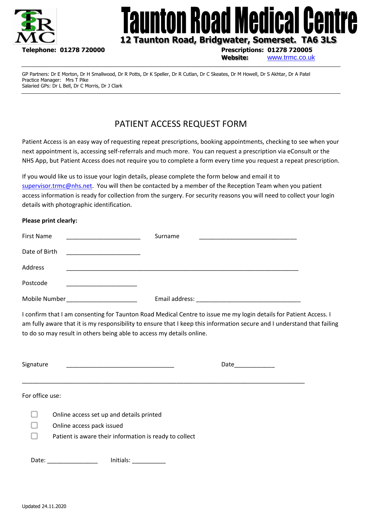

# unton Road Medical **I Cel**

# **12 Taunton Road, Bridgwater, Somerset. TA6 3LS**

**Website:** [www.trmc.co.uk](http://www.trmc.co.uk/)

GP Partners: Dr E Morton, Dr H Smallwood, Dr R Potts, Dr K Speller, Dr R Cutlan, Dr C Skeates, Dr M Howell, Dr S Akhtar, Dr A Patel Practice Manager: Mrs T Pike Salaried GPs: Dr L Bell, Dr C Morris, Dr J Clark

# PATIENT ACCESS REQUEST FORM

Patient Access is an easy way of requesting repeat prescriptions, booking appointments, checking to see when your next appointment is, accessing self-referrals and much more. You can request a prescription via eConsult or the NHS App, but Patient Access does not require you to complete a form every time you request a repeat prescription.

If you would like us to issue your login details, please complete the form below and email it to [supervisor.trmc@nhs.net.](mailto:supervisor.trmc@nhs.net) You will then be contacted by a member of the Reception Team when you patient access information is ready for collection from the surgery. For security reasons you will need to collect your login details with photographic identification.

#### **Please print clearly:**

| First Name    | Surname<br><u> 1989 - Johann John Stone, markin film yn y sefydlu yn y sy'n ganllan y gwysiau yn y gynnwys y gynnwys y gynnw</u> |
|---------------|----------------------------------------------------------------------------------------------------------------------------------|
| Date of Birth |                                                                                                                                  |
| Address       |                                                                                                                                  |
| Postcode      |                                                                                                                                  |
| Mobile Number | Email address:                                                                                                                   |

I confirm that I am consenting for Taunton Road Medical Centre to issue me my login details for Patient Access. I am fully aware that it is my responsibility to ensure that I keep this information secure and I understand that failing to do so may result in others being able to access my details online.

| Signature       |                                                                                                                                 | Date |
|-----------------|---------------------------------------------------------------------------------------------------------------------------------|------|
| For office use: |                                                                                                                                 |      |
|                 | Online access set up and details printed<br>Online access pack issued<br>Patient is aware their information is ready to collect |      |
| Date:           | Initials:                                                                                                                       |      |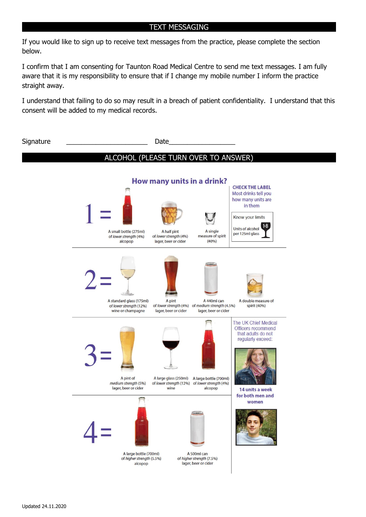#### TEXT MESSAGING

If you would like to sign up to receive text messages from the practice, please complete the section below.

I confirm that I am consenting for Taunton Road Medical Centre to send me text messages. I am fully aware that it is my responsibility to ensure that if I change my mobile number I inform the practice straight away.

I understand that failing to do so may result in a breach of patient confidentiality. I understand that this consent will be added to my medical records.